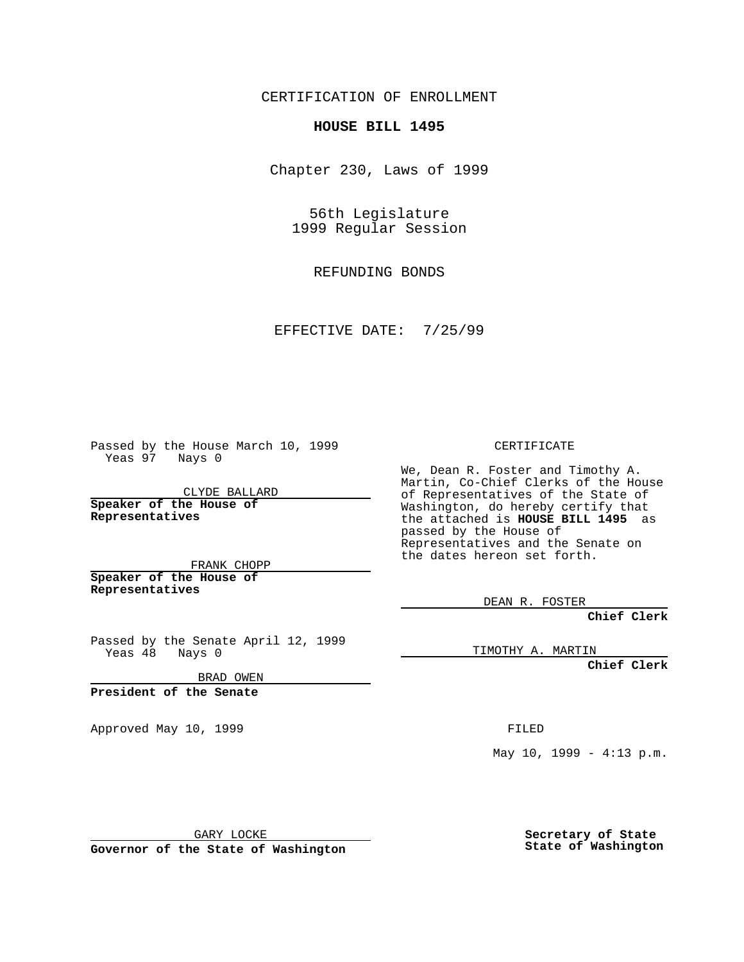CERTIFICATION OF ENROLLMENT

## **HOUSE BILL 1495**

Chapter 230, Laws of 1999

56th Legislature 1999 Regular Session

REFUNDING BONDS

EFFECTIVE DATE: 7/25/99

Passed by the House March 10, 1999 Yeas 97 Nays 0

CLYDE BALLARD **Speaker of the House of Representatives**

FRANK CHOPP **Speaker of the House of**

**Representatives**

Passed by the Senate April 12, 1999 Yeas 48 Nays 0

BRAD OWEN

**President of the Senate**

Approved May 10, 1999 **FILED** 

CERTIFICATE

We, Dean R. Foster and Timothy A. Martin, Co-Chief Clerks of the House of Representatives of the State of Washington, do hereby certify that the attached is **HOUSE BILL 1495** as passed by the House of Representatives and the Senate on the dates hereon set forth.

DEAN R. FOSTER

**Chief Clerk**

TIMOTHY A. MARTIN

**Chief Clerk**

May 10, 1999 - 4:13 p.m.

GARY LOCKE

**Governor of the State of Washington**

**Secretary of State State of Washington**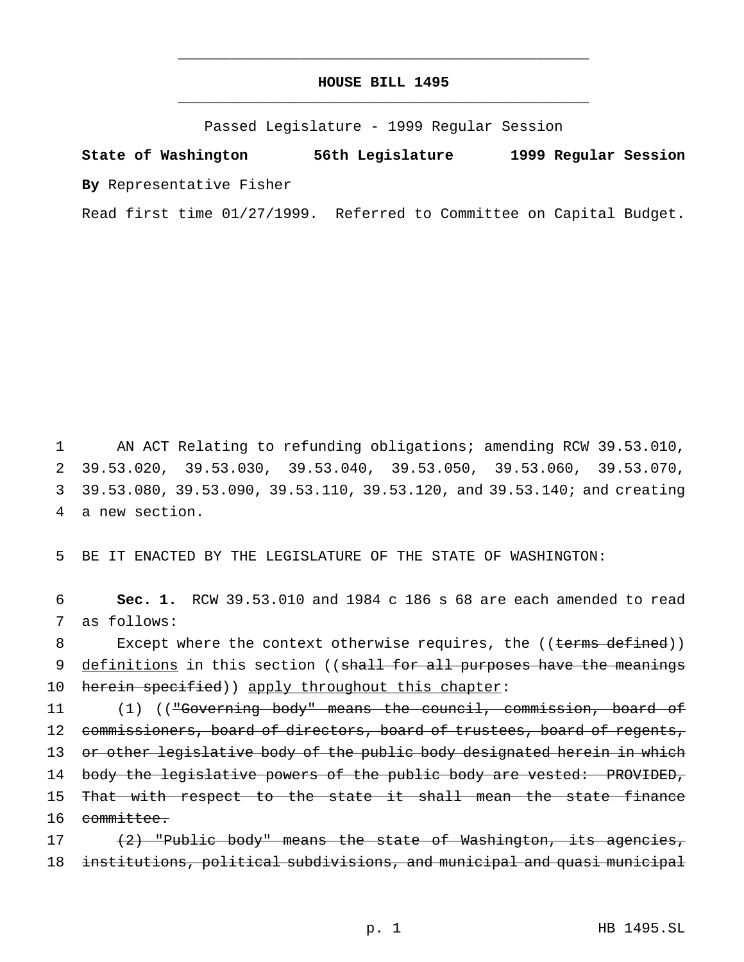## **HOUSE BILL 1495** \_\_\_\_\_\_\_\_\_\_\_\_\_\_\_\_\_\_\_\_\_\_\_\_\_\_\_\_\_\_\_\_\_\_\_\_\_\_\_\_\_\_\_\_\_\_\_

\_\_\_\_\_\_\_\_\_\_\_\_\_\_\_\_\_\_\_\_\_\_\_\_\_\_\_\_\_\_\_\_\_\_\_\_\_\_\_\_\_\_\_\_\_\_\_

Passed Legislature - 1999 Regular Session

**State of Washington 56th Legislature 1999 Regular Session By** Representative Fisher

Read first time 01/27/1999. Referred to Committee on Capital Budget.

 AN ACT Relating to refunding obligations; amending RCW 39.53.010, 39.53.020, 39.53.030, 39.53.040, 39.53.050, 39.53.060, 39.53.070, 39.53.080, 39.53.090, 39.53.110, 39.53.120, and 39.53.140; and creating a new section.

5 BE IT ENACTED BY THE LEGISLATURE OF THE STATE OF WASHINGTON:

6 **Sec. 1.** RCW 39.53.010 and 1984 c 186 s 68 are each amended to read 7 as follows:

8 Except where the context otherwise requires, the ((terms defined)) 9 definitions in this section ((shall for all purposes have the meanings 10 herein specified)) apply throughout this chapter:

11 (1) (("Governing body" means the council, commission, board of 12 commissioners, board of directors, board of trustees, board of regents, 13 or other legislative body of the public body designated herein in which 14 body the legislative powers of the public body are vested: PROVIDED, 15 That with respect to the state it shall mean the state finance 16 committee.

17 (2) "Public body" means the state of Washington, its agencies, 18 institutions, political subdivisions, and municipal and quasi municipal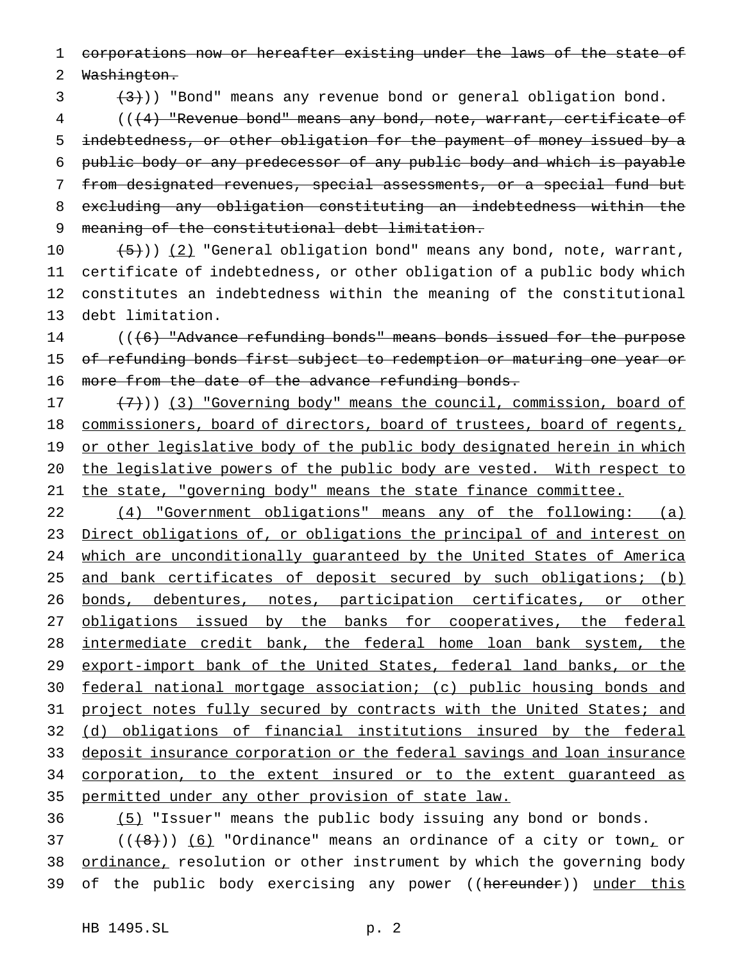1 corporations now or hereafter existing under the laws of the state of

2 Washington.

 $(3 + 3)$ ) "Bond" means any revenue bond or general obligation bond.

 (((4) "Revenue bond" means any bond, note, warrant, certificate of indebtedness, or other obligation for the payment of money issued by a public body or any predecessor of any public body and which is payable from designated revenues, special assessments, or a special fund but excluding any obligation constituting an indebtedness within the meaning of the constitutional debt limitation.

 $(5)$ )) (2) "General obligation bond" means any bond, note, warrant, certificate of indebtedness, or other obligation of a public body which constitutes an indebtedness within the meaning of the constitutional debt limitation.

14 (((6) "Advance refunding bonds" means bonds issued for the purpose 15 of refunding bonds first subject to redemption or maturing one year or 16 more from the date of the advance refunding bonds.

17 (7)) (3) "Governing body" means the council, commission, board of 18 commissioners, board of directors, board of trustees, board of regents, 19 or other legislative body of the public body designated herein in which 20 the legislative powers of the public body are vested. With respect to 21 the state, "governing body" means the state finance committee.

22 (4) "Government obligations" means any of the following: (a) 23 Direct obligations of, or obligations the principal of and interest on 24 which are unconditionally guaranteed by the United States of America 25 and bank certificates of deposit secured by such obligations; (b) 26 bonds, debentures, notes, participation certificates, or other 27 obligations issued by the banks for cooperatives, the federal 28 intermediate credit bank, the federal home loan bank system, the 29 export-import bank of the United States, federal land banks, or the 30 federal national mortgage association; (c) public housing bonds and 31 project notes fully secured by contracts with the United States; and 32 (d) obligations of financial institutions insured by the federal 33 deposit insurance corporation or the federal savings and loan insurance 34 corporation, to the extent insured or to the extent guaranteed as 35 permitted under any other provision of state law.

36 (5) "Issuer" means the public body issuing any bond or bonds.

37 ( $(\{8\})$ ) (6) "Ordinance" means an ordinance of a city or town, or 38 ordinance, resolution or other instrument by which the governing body 39 of the public body exercising any power ((hereunder)) under this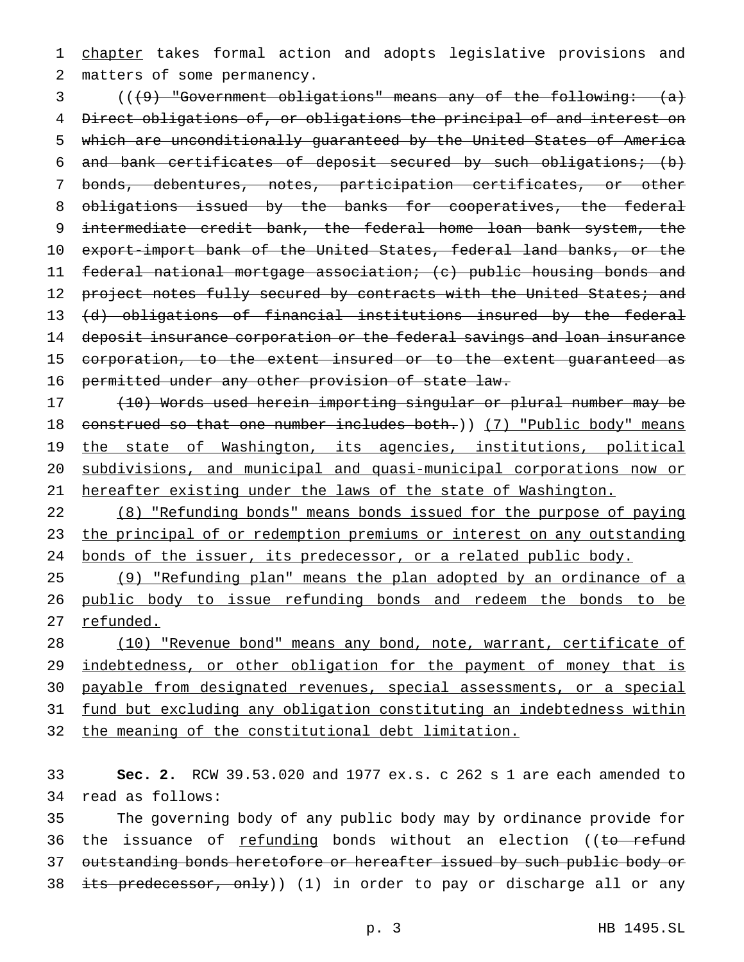1 chapter takes formal action and adopts legislative provisions and matters of some permanency.

 (((9) "Government obligations" means any of the following: (a) Direct obligations of, or obligations the principal of and interest on which are unconditionally guaranteed by the United States of America and bank certificates of deposit secured by such obligations; (b) bonds, debentures, notes, participation certificates, or other 8 obligations issued by the banks for cooperatives, the federal intermediate credit bank, the federal home loan bank system, the export-import bank of the United States, federal land banks, or the federal national mortgage association; (c) public housing bonds and 12 project notes fully secured by contracts with the United States; and (d) obligations of financial institutions insured by the federal deposit insurance corporation or the federal savings and loan insurance 15 corporation, to the extent insured or to the extent guaranteed as permitted under any other provision of state law.

 (10) Words used herein importing singular or plural number may be 18 construed so that one number includes both.)) (7) "Public body" means 19 the state of Washington, its agencies, institutions, political subdivisions, and municipal and quasi-municipal corporations now or hereafter existing under the laws of the state of Washington.

 (8) "Refunding bonds" means bonds issued for the purpose of paying 23 the principal of or redemption premiums or interest on any outstanding bonds of the issuer, its predecessor, or a related public body.

 (9) "Refunding plan" means the plan adopted by an ordinance of a public body to issue refunding bonds and redeem the bonds to be 27 refunded.

28 (10) "Revenue bond" means any bond, note, warrant, certificate of 29 indebtedness, or other obligation for the payment of money that is payable from designated revenues, special assessments, or a special fund but excluding any obligation constituting an indebtedness within the meaning of the constitutional debt limitation.

 **Sec. 2.** RCW 39.53.020 and 1977 ex.s. c 262 s 1 are each amended to read as follows:

 The governing body of any public body may by ordinance provide for 36 the issuance of refunding bonds without an election ((to refund outstanding bonds heretofore or hereafter issued by such public body or 38 its predecessor, only)) (1) in order to pay or discharge all or any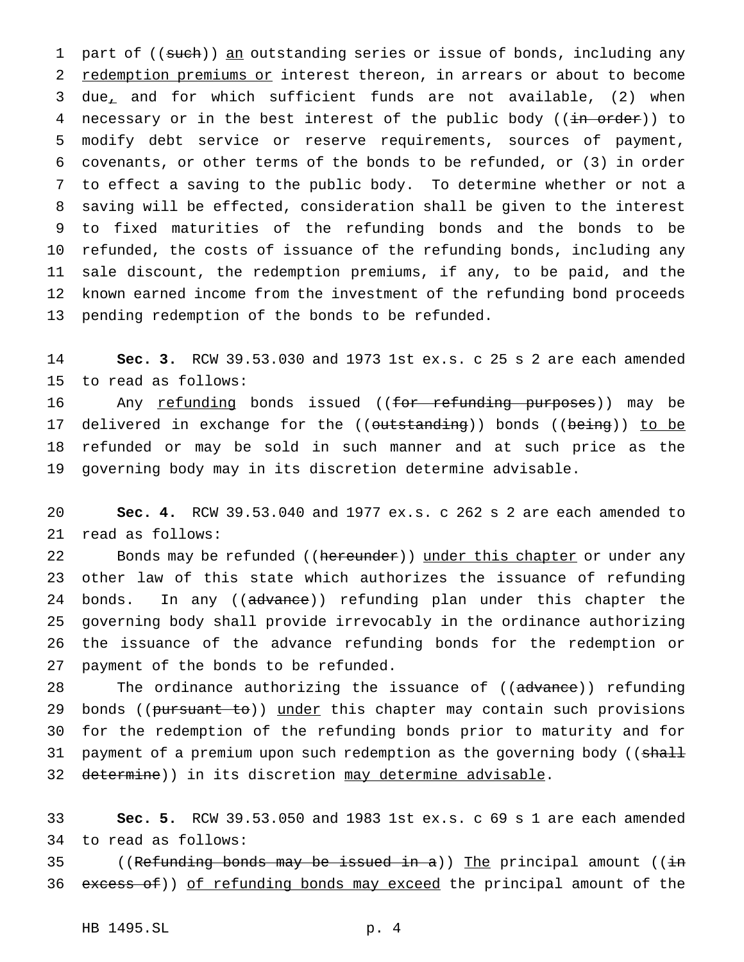1 part of ((such)) an outstanding series or issue of bonds, including any 2 redemption premiums or interest thereon, in arrears or about to become due, and for which sufficient funds are not available, (2) when 4 necessary or in the best interest of the public body ((in order)) to modify debt service or reserve requirements, sources of payment, covenants, or other terms of the bonds to be refunded, or (3) in order to effect a saving to the public body. To determine whether or not a saving will be effected, consideration shall be given to the interest to fixed maturities of the refunding bonds and the bonds to be refunded, the costs of issuance of the refunding bonds, including any sale discount, the redemption premiums, if any, to be paid, and the known earned income from the investment of the refunding bond proceeds pending redemption of the bonds to be refunded.

 **Sec. 3.** RCW 39.53.030 and 1973 1st ex.s. c 25 s 2 are each amended to read as follows:

 Any refunding bonds issued ((for refunding purposes)) may be 17 delivered in exchange for the ((outstanding)) bonds ((being)) to be refunded or may be sold in such manner and at such price as the governing body may in its discretion determine advisable.

 **Sec. 4.** RCW 39.53.040 and 1977 ex.s. c 262 s 2 are each amended to read as follows:

22 Bonds may be refunded ((hereunder)) under this chapter or under any other law of this state which authorizes the issuance of refunding 24 bonds. In any ((advance)) refunding plan under this chapter the governing body shall provide irrevocably in the ordinance authorizing the issuance of the advance refunding bonds for the redemption or payment of the bonds to be refunded.

28 The ordinance authorizing the issuance of ((advance)) refunding 29 bonds ((pursuant to)) under this chapter may contain such provisions for the redemption of the refunding bonds prior to maturity and for 31 payment of a premium upon such redemption as the governing body ((shall 32 determine)) in its discretion may determine advisable.

 **Sec. 5.** RCW 39.53.050 and 1983 1st ex.s. c 69 s 1 are each amended to read as follows:

35 ((Refunding bonds may be issued in a)) The principal amount ((in 36 excess of)) of refunding bonds may exceed the principal amount of the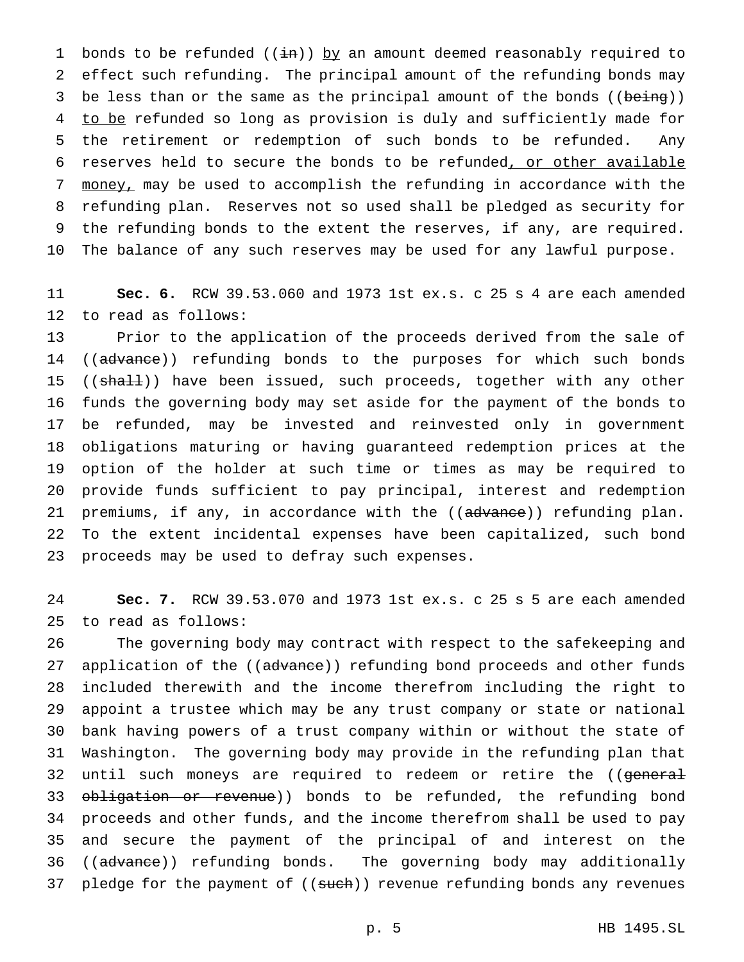1 bonds to be refunded  $((\frac{1}{n}))$  by an amount deemed reasonably required to effect such refunding. The principal amount of the refunding bonds may 3 be less than or the same as the principal amount of the bonds ((being)) 4 to be refunded so long as provision is duly and sufficiently made for the retirement or redemption of such bonds to be refunded. Any reserves held to secure the bonds to be refunded, or other available money, may be used to accomplish the refunding in accordance with the refunding plan. Reserves not so used shall be pledged as security for the refunding bonds to the extent the reserves, if any, are required. The balance of any such reserves may be used for any lawful purpose.

 **Sec. 6.** RCW 39.53.060 and 1973 1st ex.s. c 25 s 4 are each amended to read as follows:

 Prior to the application of the proceeds derived from the sale of 14 ((advance)) refunding bonds to the purposes for which such bonds 15 ((shall)) have been issued, such proceeds, together with any other funds the governing body may set aside for the payment of the bonds to be refunded, may be invested and reinvested only in government obligations maturing or having guaranteed redemption prices at the option of the holder at such time or times as may be required to provide funds sufficient to pay principal, interest and redemption 21 premiums, if any, in accordance with the ((advance)) refunding plan. To the extent incidental expenses have been capitalized, such bond proceeds may be used to defray such expenses.

 **Sec. 7.** RCW 39.53.070 and 1973 1st ex.s. c 25 s 5 are each amended to read as follows:

 The governing body may contract with respect to the safekeeping and 27 application of the ((advance)) refunding bond proceeds and other funds included therewith and the income therefrom including the right to appoint a trustee which may be any trust company or state or national bank having powers of a trust company within or without the state of Washington. The governing body may provide in the refunding plan that 32 until such moneys are required to redeem or retire the ((general 33 obligation or revenue)) bonds to be refunded, the refunding bond proceeds and other funds, and the income therefrom shall be used to pay and secure the payment of the principal of and interest on the 36 ((advance)) refunding bonds. The governing body may additionally 37 pledge for the payment of ((such)) revenue refunding bonds any revenues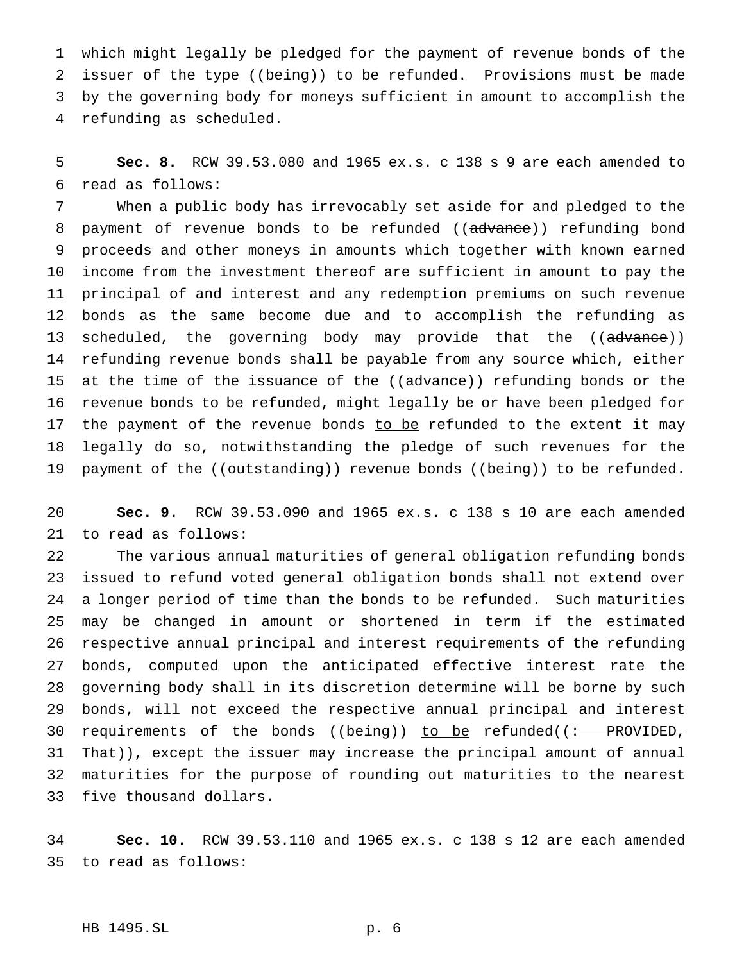which might legally be pledged for the payment of revenue bonds of the 2 issuer of the type ((being)) to be refunded. Provisions must be made by the governing body for moneys sufficient in amount to accomplish the refunding as scheduled.

 **Sec. 8.** RCW 39.53.080 and 1965 ex.s. c 138 s 9 are each amended to read as follows:

 When a public body has irrevocably set aside for and pledged to the 8 payment of revenue bonds to be refunded ((advance)) refunding bond proceeds and other moneys in amounts which together with known earned income from the investment thereof are sufficient in amount to pay the principal of and interest and any redemption premiums on such revenue bonds as the same become due and to accomplish the refunding as 13 scheduled, the governing body may provide that the ((advance)) refunding revenue bonds shall be payable from any source which, either 15 at the time of the issuance of the ((advance)) refunding bonds or the revenue bonds to be refunded, might legally be or have been pledged for 17 the payment of the revenue bonds to be refunded to the extent it may legally do so, notwithstanding the pledge of such revenues for the 19 payment of the ((outstanding)) revenue bonds ((being)) to be refunded.

 **Sec. 9.** RCW 39.53.090 and 1965 ex.s. c 138 s 10 are each amended to read as follows:

22 The various annual maturities of general obligation refunding bonds issued to refund voted general obligation bonds shall not extend over a longer period of time than the bonds to be refunded. Such maturities may be changed in amount or shortened in term if the estimated respective annual principal and interest requirements of the refunding bonds, computed upon the anticipated effective interest rate the governing body shall in its discretion determine will be borne by such bonds, will not exceed the respective annual principal and interest 30 requirements of the bonds (( $being$ )) to be refunded( $\left(\div\right)$  PROVIDED, 31 That)), except the issuer may increase the principal amount of annual maturities for the purpose of rounding out maturities to the nearest five thousand dollars.

 **Sec. 10.** RCW 39.53.110 and 1965 ex.s. c 138 s 12 are each amended to read as follows:

## HB 1495.SL p. 6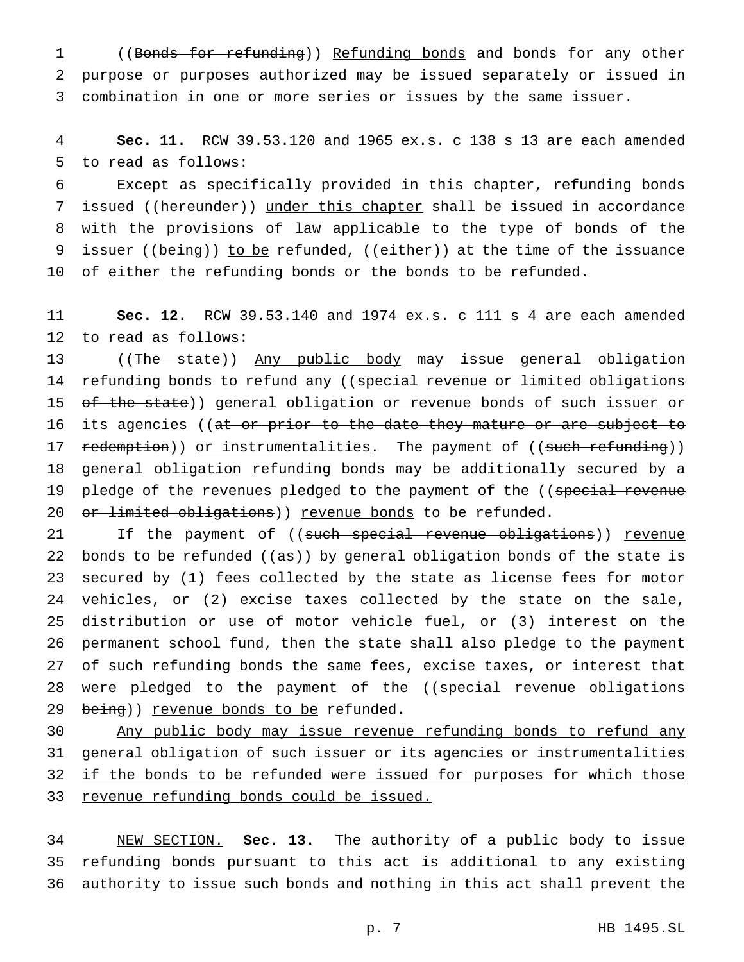1 ((Bonds for refunding)) Refunding bonds and bonds for any other 2 purpose or purposes authorized may be issued separately or issued in 3 combination in one or more series or issues by the same issuer.

4 **Sec. 11.** RCW 39.53.120 and 1965 ex.s. c 138 s 13 are each amended 5 to read as follows:

6 Except as specifically provided in this chapter, refunding bonds 7 issued ((hereunder)) under this chapter shall be issued in accordance 8 with the provisions of law applicable to the type of bonds of the 9 issuer ((being)) to be refunded, ((either)) at the time of the issuance 10 of either the refunding bonds or the bonds to be refunded.

11 **Sec. 12.** RCW 39.53.140 and 1974 ex.s. c 111 s 4 are each amended 12 to read as follows:

13 ((The state)) Any public body may issue general obligation 14 refunding bonds to refund any ((special revenue or limited obligations 15 of the state)) general obligation or revenue bonds of such issuer or 16 its agencies ((at or prior to the date they mature or are subject to 17 redemption)) or instrumentalities. The payment of ((such refunding)) 18 general obligation refunding bonds may be additionally secured by a 19 pledge of the revenues pledged to the payment of the ((special revenue 20 <del>or limited obligations</del>)) revenue bonds to be refunded.

21 If the payment of ((such special revenue obligations)) revenue 22 bonds to be refunded  $((as))$  by general obligation bonds of the state is 23 secured by (1) fees collected by the state as license fees for motor 24 vehicles, or (2) excise taxes collected by the state on the sale, 25 distribution or use of motor vehicle fuel, or (3) interest on the 26 permanent school fund, then the state shall also pledge to the payment 27 of such refunding bonds the same fees, excise taxes, or interest that 28 were pledged to the payment of the ((special revenue obligations 29 being)) revenue bonds to be refunded.

 Any public body may issue revenue refunding bonds to refund any general obligation of such issuer or its agencies or instrumentalities 32 if the bonds to be refunded were issued for purposes for which those revenue refunding bonds could be issued.

34 NEW SECTION. **Sec. 13.** The authority of a public body to issue 35 refunding bonds pursuant to this act is additional to any existing 36 authority to issue such bonds and nothing in this act shall prevent the